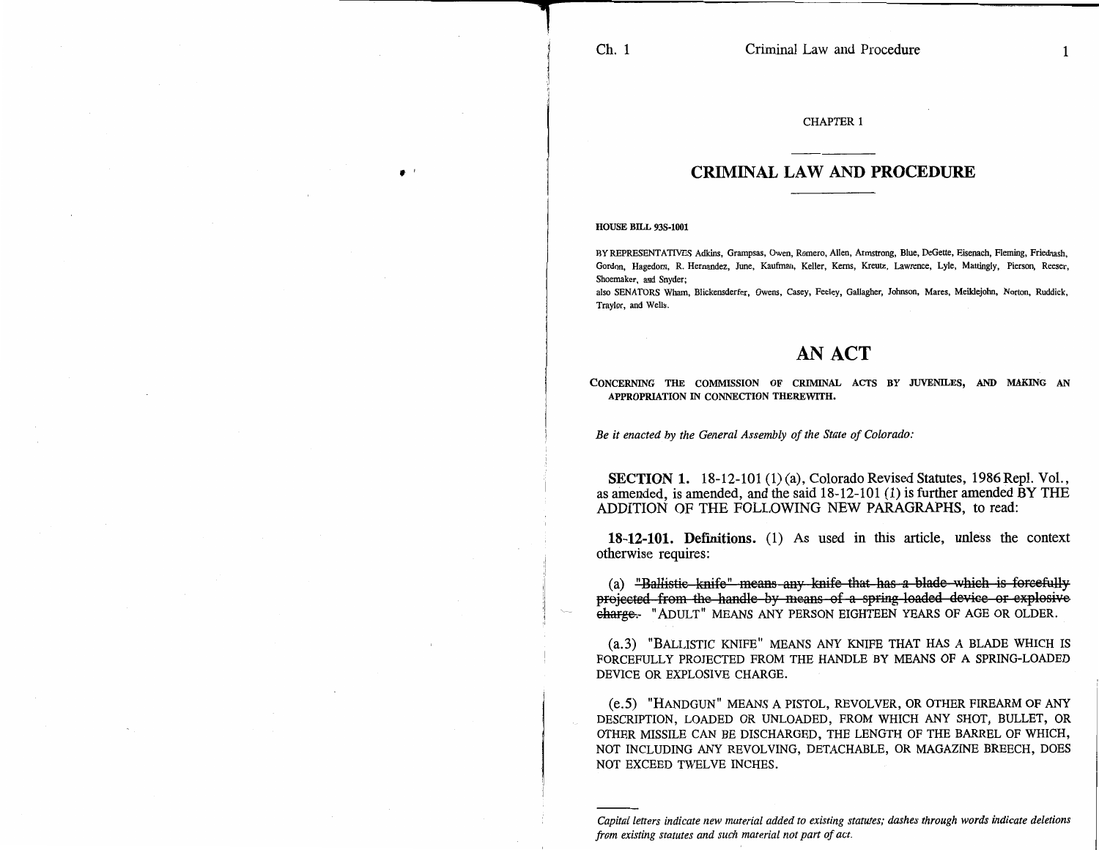'

CHAPTER 1

## **CRIMINAL LAW AND PROCEDURE**

HOUSE BILL 93S-1001

BY REPRESENTATIVES Adkins, Grampsas, Owen, Romero, Allen, Armstrong, Blue, DeGette, Eisenach, Fleming, Friednash, Gordon, Hagedorn, R. Hernandez, June, Kaufman, Keller, Kerns, Kreutz, Lawrence, Lyle, Mattingly, Pierson, Reeser, Shoemaker, and Snyder;

also SENATORS Wham, Blickensderfer, Owens, Casey, Feeley, Gallagher, Johnson, Mares, Meildejobn, Norton, Ruddick, Traylor, and Wells.

## **AN ACT**

CONCERNING THE COMMISSION OF CRIMINAL ACTS BY JUVENILES, AND MAKING AN APPROPRIATION IN CONNECTION THEREWITH.

*Be it enacted by the General Assembly of the State of Colorado:* 

SECTION **1.** 18-12-101 (1) (a), Colorado Revised Statutes, 1986 Repl. Vol., as amended, is amended, and the said 18-12-101 (1) is further amended BY THE ADDITION OF THE FOLLOWING NEW PARAGRAPHS, to read:

**18-12-101. Definitions.** (1) As used in this article, unless the context otherwise requires:

(a) "Ballistic knife" means any knife that has a blade which is forcefully projected from the handle-by means of a spring loaded device or explosive charge. "ADULT" MEANS ANY PERSON EIGHTEEN YEARS OF AGE OR OLDER.

(a. 3) "BALLISTIC KNIFE" MEANS ANY KNIFE THAT HAS A BLADE WHICH IS FORCEFULLY PROJECTED FROM THE HANDLE BY MEANS OF A SPRING-LOADED DEVICE OR EXPLOSIVE CHARGE.

(e.5) "HANDGUN" MEANS A PISTOL, REVOLVER, OR OTHER FIREARM OF ANY DESCRIPTION, LOADED OR UNLOADED, FROM WHICH ANY SHOT, BULLET, OR OTHER MISSILE CAN BE DISCHARGED, THE LENGTH OF THE BARREL OF WHICH, NOT INCLUDING ANY REVOLVING, DETACHABLE, OR MAGAZINE BREECH, DOES NOT EXCEED TWELVE INCHES.

*Capital letters indicate new material added to existing statutes; dashes through words indicate deletions from existing statutes and such material not part of act.*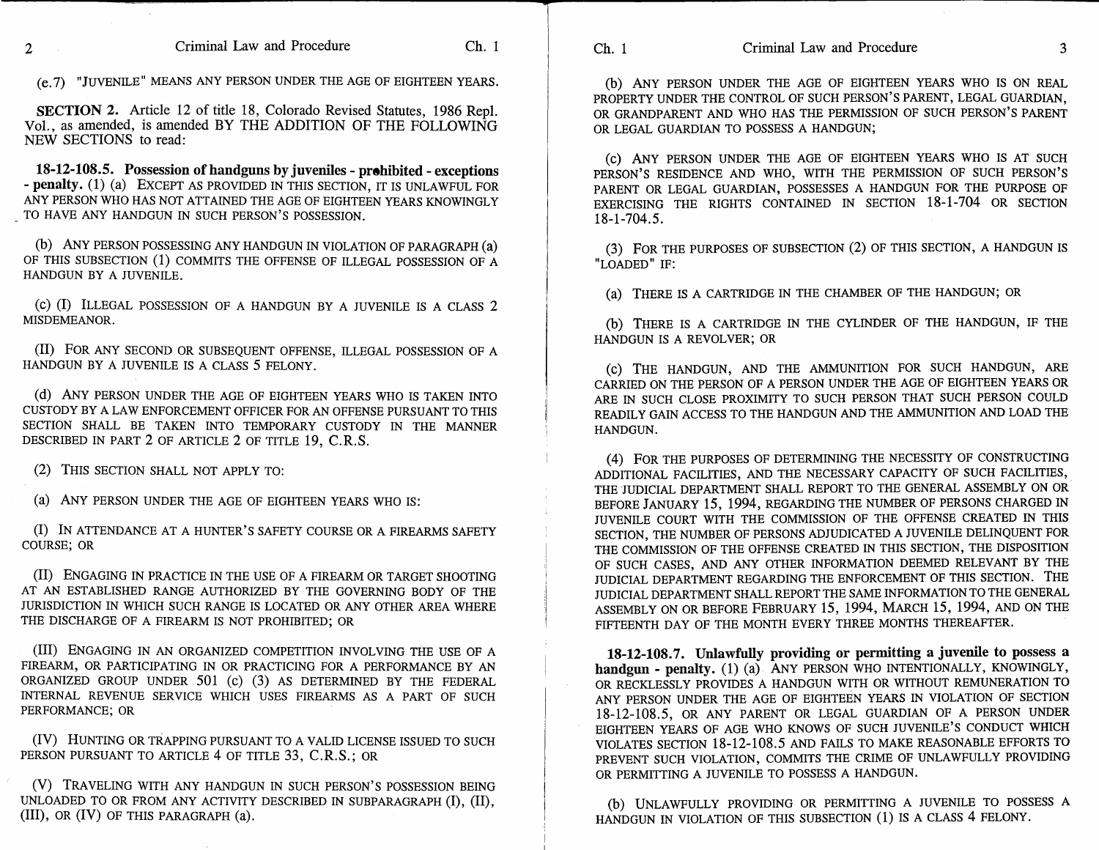**SECTION 2.** Article 12 of title 18, Colorado Revised Statutes, 1986 Repl. Vol., as amended, is amended BY THE ADDITION OF THE FOLLOWING NEW SECTIONS to read:

**18-12-108.5. Possession of handguns by juveniles - prohibited - exceptions - penalty.** (1) (a) EXCEPT AS PROVIDED IN THIS SECTION, IT IS UNLAWFUL FOR ANY PERSON WHO HAS NOT ATTAINED THE AGE OF EIGHTEEN YEARS KNOWINGLY TO HAVE ANY HANDGUN IN SUCH PERSON'S POSSESSION.

(b) ANY PERSON POSSESSING ANY HANDGUN IN VIOLATION OF PARAGRAPH (a) OF THIS SUBSECTION (1) COMMITS THE OFFENSE OF ILLEGAL POSSESSION OF A HANDGUN BY A JUVENILE.

(c) (I) ILLEGAL POSSESSION OF A HANDGUN BY A JUVENILE IS A CLASS 2 MISDEMEANOR.

(II) FOR ANY SECOND OR SUBSEQUENT OFFENSE, ILLEGAL POSSESSION OF A HANDGUN BY A JUVENILE IS A CLASS 5 FELONY.

(d) ANY PERSON UNDER THE AGE OF EIGHTEEN YEARS WHO IS TAKEN INTO CUSTODY BY A LAW ENFORCEMENT OFFICER FOR AN OFFENSE PURSUANT TO THIS SECTION SHALL BE TAKEN INTO TEMPORARY CUSTODY IN THE MANNER DESCRIBED IN PART 2 OF ARTICLE 2 OF TITLE 19, C.R.S.

(2) THIS SECTION SHALL NOT APPLY TO:

(a) ANY PERSON UNDER THE AGE OF EIGHTEEN YEARS WHO IS:

(I) IN ATTENDANCE AT A HUNTER'S SAFETY COURSE OR A FIREARMS SAFETY COURSE; OR

(II) ENGAGING IN PRACTICE IN THE USE OF A FIREARM OR TARGET SHOOTING AT AN ESTABLISHED RANGE AUTHORIZED BY THE GOVERNING BODY OF THE JURISDICTION IN WHICH SUCH RANGE IS LOCATED OR ANY OTHER AREA WHERE THE DISCHARGE OF A FIREARM IS NOT PROHIBITED; OR

(III) ENGAGING IN AN ORGANIZED COMPETITION INVOLVING THE USE OF A FIREARM, OR PARTICIPATING IN OR PRACTICING FOR A PERFORMANCE BY AN ORGANIZED GROUP UNDER 501 (c) (3) AS DETERMINED BY THE FEDERAL INTERNAL REVENUE SERVICE WHICH USES FIREARMS AS A PART OF SUCH PERFORMANCE; OR

(IV) HUNTING OR TRAPPING PURSUANT TO A VALID LICENSE ISSUED TO SUCH PERSON PURSUANT TO ARTICLE 4 OF TITLE 33, C.R.S.; OR

(V) TRAVELING WITH ANY HANDGUN IN SUCH PERSON'S POSSESSION BEING UNLOADED TO OR FROM ANY ACTIVITY DESCRIBED IN SUBPARAGRAPH (I), **(II), (III),** OR (IV) OF THIS PARAGRAPH (a).

(b) ANY PERSON UNDER THE AGE OF EIGHTEEN YEARS WHO IS ON REAL PROPERTY UNDER THE CONTROL OF SUCH PERSON'S PARENT, LEGAL GUARDIAN, OR GRANDPARENT AND WHO HAS THE PERMISSION OF SUCH PERSON'S PARENT OR LEGAL GUARDIAN TO POSSESS A HANDGUN;

(c) ANY PERSON UNDER THE AGE OF EIGHTEEN YEARS WHO IS AT SUCH PERSON'S RESIDENCE AND WHO, WITH THE PERMISSION OF SUCH PERSON'S PARENT OR LEGAL GUARDIAN, POSSESSES A HANDGUN FOR THE PURPOSE OF EXERCISING THE RIGHTS CONTAINED IN SECTION 18-1-704 OR SECTION 18-1-704.5.

(3) FOR THE PURPOSES OF SUBSECTION (2) OF THIS SECTION, A HANDGUN IS "LOADED" IF:

(a) THERE IS A CARTRIDGE IN THE CHAMBER OF THE HANDGUN; OR

(b) THERE IS A CARTRIDGE IN THE CYLINDER OF THE HANDGUN, IF THE HANDGUN IS A REVOLVER; OR

(c) THE HANDGUN, AND THE AMMUNITION FOR SUCH HANDGUN, ARE CARRIED ON THE PERSON OF A PERSON UNDER THE AGE OF EIGHTEEN YEARS OR ARE IN SUCH CLOSE PROXIMITY TO SUCH PERSON THAT SUCH PERSON COULD READILY GAIN ACCESS TO THE HANDGUN AND THE AMMUNITION AND LOAD THE HANDGUN.

(4) FOR THE PURPOSES OF DETERMINING THE NECESSITY OF CONSTRUCTING ADDITIONAL FACILITIES, AND THE NECESSARY CAPACITY OF SUCH FACILITIES, THE JUDICIAL DEPARTMENT SHALL REPORT TO THE GENERAL ASSEMBLY ON OR BEFORE JANUARY 15, 1994, REGARDING THE NUMBER OF PERSONS CHARGED IN JUVENILE COURT WITH THE COMMISSION OF THE OFFENSE CREATED IN THIS SECTION, THE NUMBER OF PERSONS ADJUDICATED A JUVENILE DELINQUENT FOR THE COMMISSION OF THE OFFENSE CREATED IN THIS SECTION, THE DISPOSITION OF SUCH CASES, AND ANY OTHER INFORMATION DEEMED RELEVANT BY THE JUDICIAL DEPARTMENT REGARDING THE ENFORCEMENT OF THIS SECTION. THE JUDICIAL DEPARTMENT SHALL REPORT THE SAME INFORMATION TO THE GENERAL ASSEMBLY ON OR BEFORE FEBRUARY 15, 1994, MARCH 15, 1994, AND ON THE FIFTEENTH DAY OF THE MONTH EVERY THREE MONTHS THEREAFTER.

**18-12-108.7. Unlawfully providing or permitting a juvenile to possess a**  handgun - penalty. (1) (a) ANY PERSON WHO INTENTIONALLY, KNOWINGLY, OR RECKLESSLY PROVIDES A HANDGUN WITH OR WITHOUT REMUNERATION TO ANY PERSON UNDER THE AGE OF EIGHTEEN YEARS IN VIOLATION OF SECTION 18-12-108.5, OR ANY PARENT OR LEGAL GUARDIAN OF A PERSON UNDER EIGHTEEN YEARS OF AGE WHO KNOWS OF SUCH JUVENILE'S CONDUCT WHICH VIOLATES SECTION 18-12-108.5 AND FAILS TO MAKE REASONABLE EFFORTS TO PREVENT SUCH VIOLATION, COMMITS THE CRIME OF UNLAWFULLY PROVIDING OR PERMITTING A JUVENILE TO POSSESS A HANDGUN.

(b) UNLAWFULLY PROVIDING OR PERMITTING A JUVENILE TO POSSESS A HANDGUN IN VIOLATION OF THIS SUBSECTION (1) IS A CLASS 4 FELONY.